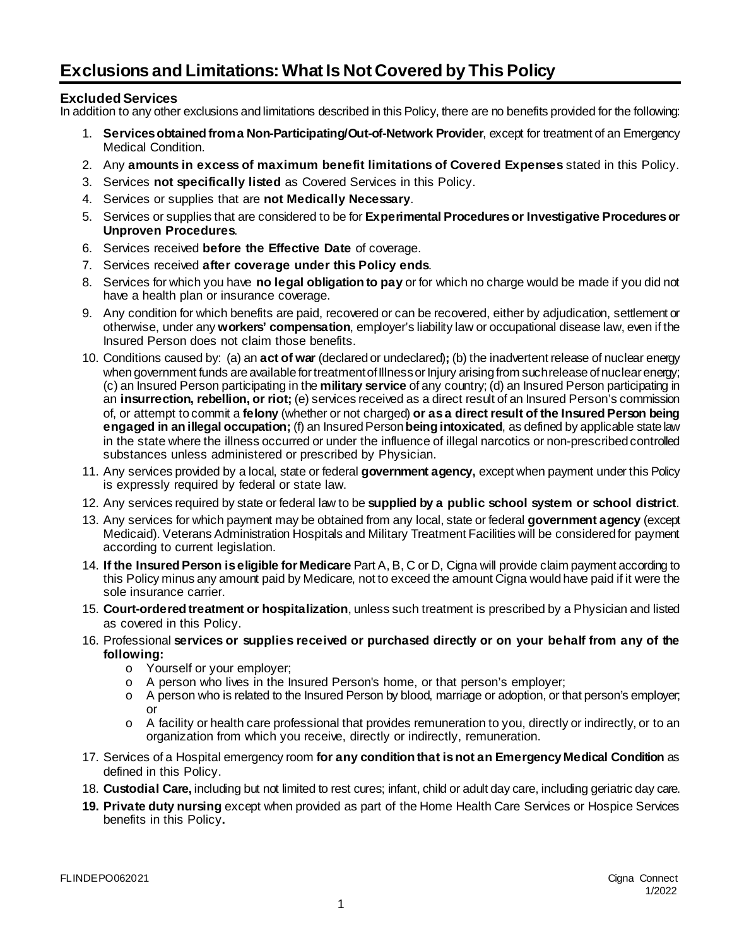## **Exclusions and Limitations: What Is Not Covered by This Policy**

## **Excluded Services**

In addition to any other exclusions and limitations described in this Policy, there are no benefits provided for the following:

- 1. **Services obtained from a Non-Participating/Out-of-Network Provider**, except for treatment of an Emergency Medical Condition.
- 2. Any **amounts in excess of maximum benefit limitations of Covered Expenses** stated in this Policy.
- 3. Services **not specifically listed** as Covered Services in this Policy.
- 4. Services or supplies that are **not Medically Necessary**.
- 5. Services or supplies that are considered to be for **Experimental Procedures or Investigative Proceduresor Unproven Procedures**.
- 6. Services received **before the Effective Date** of coverage.
- 7. Services received **after coverage under this Policy ends**.
- 8. Services for which you have **no legal obligation to pay** or for which no charge would be made if you did not have a health plan or insurance coverage.
- 9. Any condition for which benefits are paid, recovered or can be recovered, either by adjudication, settlement or otherwise, under any **workers' compensation**, employer's liability law or occupational disease law, even if the Insured Person does not claim those benefits.
- 10. Conditions caused by: (a) an **act of war** (declared or undeclared)**;** (b) the inadvertent release of nuclear energy when government funds are available for treatment of Illness or Injury arising from such release of nuclear energy; (c) an Insured Person participating in the **military service** of any country; (d) an Insured Person participating in an **insurrection, rebellion, or riot;** (e) services received as a direct result of an Insured Person's commission of, or attempt to commit a **felony** (whether or not charged) **or as a direct result of the Insured Person being engaged in an illegal occupation;** (f) an Insured Person **being intoxicated**, as defined by applicable state law in the state where the illness occurred or under the influence of illegal narcotics or non-prescribed controlled substances unless administered or prescribed by Physician.
- 11. Any services provided by a local, state or federal **government agency,** except when payment under this Policy is expressly required by federal or state law.
- 12. Any services required by state or federal law to be **supplied by a public school system or school district**.
- 13. Any services for which payment may be obtained from any local, state or federal **government agency** (except Medicaid). Veterans Administration Hospitals and Military Treatment Facilities will be considered for payment according to current legislation.
- 14. **If the Insured Person is eligible for Medicare** Part A, B, C or D, Cigna will provide claim payment according to this Policy minus any amount paid by Medicare, not to exceed the amount Cigna would have paid if it were the sole insurance carrier.
- 15. **Court-ordered treatment or hospitalization**, unless such treatment is prescribed by a Physician and listed as covered in this Policy.
- 16. Professional **services or supplies received or purchased directly or on your behalf from any of the following:**
	- o Yourself or your employer;
	- o A person who lives in the Insured Person's home, or that person's employer;
	- o A person who is related to the Insured Person by blood, marriage or adoption, or that person's employer; or
	- o A facility or health care professional that provides remuneration to you, directly or indirectly, or to an organization from which you receive, directly or indirectly, remuneration.
- 17. Services of a Hospital emergency room **for any condition that is not an Emergency Medical Condition** as defined in this Policy.
- 18. **Custodial Care,** including but not limited to rest cures; infant, child or adult day care, including geriatric day care.
- **19. Private duty nursing** except when provided as part of the Home Health Care Services or Hospice Services benefits in this Policy**.**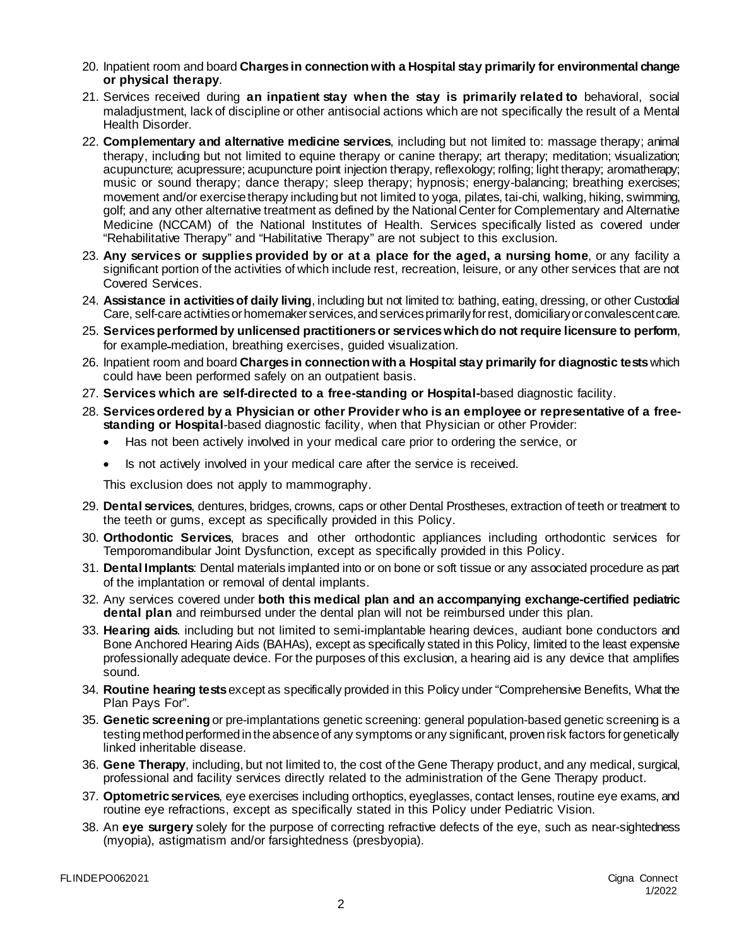- 20. Inpatient room and board **Charges in connection with a Hospital stay primarily for environmental change or physical therapy**.
- 21. Services received during **an inpatient stay when the stay is primarily related to** behavioral, social maladjustment, lack of discipline or other antisocial actions which are not specifically the result of a Mental Health Disorder.
- 22. **Complementary and alternative medicine services**, including but not limited to: massage therapy; animal therapy, including but not limited to equine therapy or canine therapy; art therapy; meditation; visualization; acupuncture; acupressure; acupuncture point injection therapy, reflexology; rolfing; light therapy; aromatherapy; music or sound therapy; dance therapy; sleep therapy; hypnosis; energy-balancing; breathing exercises; movement and/or exercise therapy including but not limited to yoga, pilates, tai-chi, walking, hiking, swimming, golf; and any other alternative treatment as defined by the National Center for Complementary and Alternative Medicine (NCCAM) of the National Institutes of Health. Services specifically listed as covered under "Rehabilitative Therapy" and "Habilitative Therapy" are not subject to this exclusion.
- 23. **Any services or supplies provided by or at a place for the aged, a nursing home**, or any facility a significant portion of the activities of which include rest, recreation, leisure, or any other services that are not Covered Services.
- 24. **Assistance in activities of daily living**, including but not limited to: bathing, eating, dressing, or other Custodial Care, self-care activities or homemaker services, and services primarily for rest, domiciliary or convalescent care.
- 25. **Services performed by unlicensed practitioners or services which do not require licensure to perform**, for example mediation, breathing exercises, guided visualization.
- 26. Inpatient room and board **Charges in connection with a Hospital stay primarily for diagnostic tests**which could have been performed safely on an outpatient basis.
- 27. **Services which are self-directed to a free-standing or Hospital-**based diagnostic facility.
- 28. **Services ordered by a Physician or other Provider who is an employee or representative of a freestanding or Hospital**-based diagnostic facility, when that Physician or other Provider:
	- Has not been actively involved in your medical care prior to ordering the service, or
	- Is not actively involved in your medical care after the service is received.

This exclusion does not apply to mammography.

- 29. **Dental services**, dentures, bridges, crowns, caps or other Dental Prostheses, extraction of teeth or treatment to the teeth or gums, except as specifically provided in this Policy.
- 30. **Orthodontic Services**, braces and other orthodontic appliances including orthodontic services for Temporomandibular Joint Dysfunction, except as specifically provided in this Policy.
- 31. **Dental Implants**: Dental materials implanted into or on bone or soft tissue or any associated procedure as part of the implantation or removal of dental implants.
- 32. Any services covered under **both this medical plan and an accompanying exchange-certified pediatric dental plan** and reimbursed under the dental plan will not be reimbursed under this plan.
- 33. **Hearing aids**. including but not limited to semi-implantable hearing devices, audiant bone conductors and Bone Anchored Hearing Aids (BAHAs), except as specifically stated in this Policy, limited to the least expensive professionally adequate device. For the purposes of this exclusion, a hearing aid is any device that amplifies sound.
- 34. **Routine hearing tests**except as specifically provided in this Policy under "Comprehensive Benefits, What the Plan Pays For".
- 35. **Genetic screening** or pre-implantations genetic screening: general population-based genetic screening is a testing method performed in the absence of any symptoms or any significant, proven risk factors for genetically linked inheritable disease.
- 36. **Gene Therapy**, including, but not limited to, the cost of the Gene Therapy product, and any medical, surgical, professional and facility services directly related to the administration of the Gene Therapy product.
- 37. **Optometric services**, eye exercises including orthoptics, eyeglasses, contact lenses, routine eye exams, and routine eye refractions, except as specifically stated in this Policy under Pediatric Vision.
- 38. An **eye surgery** solely for the purpose of correcting refractive defects of the eye, such as near-sightedness (myopia), astigmatism and/or farsightedness (presbyopia).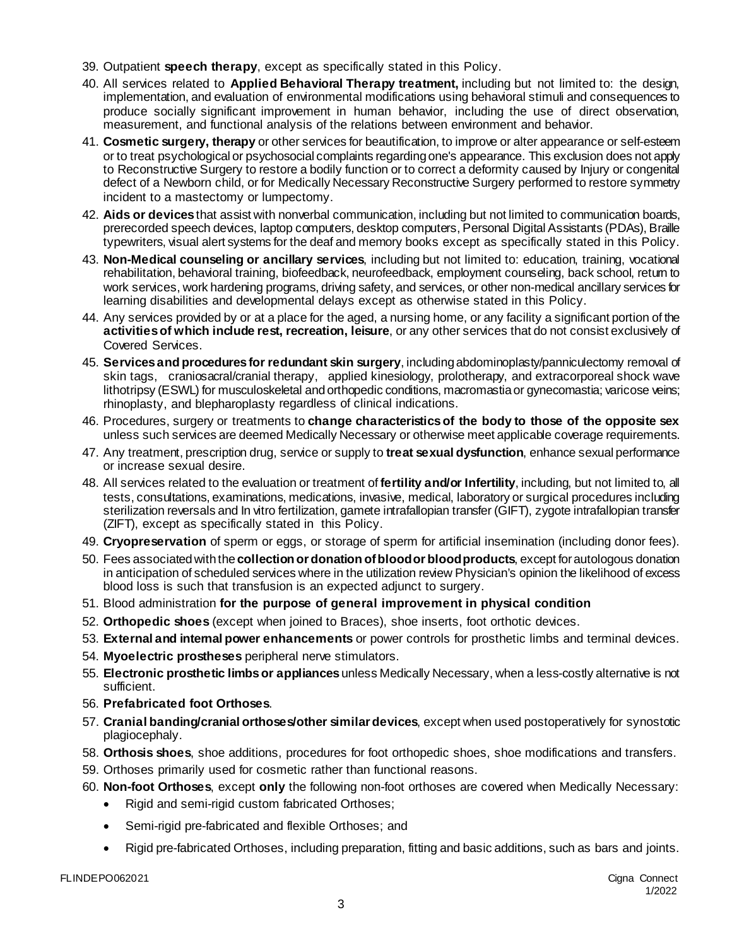- 39. Outpatient **speech therapy**, except as specifically stated in this Policy.
- 40. All services related to **Applied Behavioral Therapy treatment,** including but not limited to: the design, implementation, and evaluation of environmental modifications using behavioral stimuli and consequences to produce socially significant improvement in human behavior, including the use of direct observation, measurement, and functional analysis of the relations between environment and behavior.
- 41. **Cosmetic surgery, therapy** or other services for beautification, to improve or alter appearance or self-esteem or to treat psychological or psychosocial complaints regarding one's appearance. This exclusion does not apply to Reconstructive Surgery to restore a bodily function or to correct a deformity caused by Injury or congenital defect of a Newborn child, or for Medically Necessary Reconstructive Surgery performed to restore symmetry incident to a mastectomy or lumpectomy.
- 42. **Aids or devices**that assist with nonverbal communication, including but not limited to communication boards, prerecorded speech devices, laptop computers, desktop computers, Personal Digital Assistants (PDAs), Braille typewriters, visual alert systems for the deaf and memory books except as specifically stated in this Policy.
- 43. **Non-Medical counseling or ancillary services**, including but not limited to: education, training, vocational rehabilitation, behavioral training, biofeedback, neurofeedback, employment counseling, back school, return to work services, work hardening programs, driving safety, and services, or other non-medical ancillary services for learning disabilities and developmental delays except as otherwise stated in this Policy.
- 44. Any services provided by or at a place for the aged, a nursing home, or any facility a significant portion of the **activities of which include rest, recreation, leisure**, or any other services that do not consist exclusively of Covered Services.
- 45. **Servicesand proceduresfor redundant skin surgery**, including abdominoplasty/panniculectomy removal of skin tags, craniosacral/cranial therapy, applied kinesiology, prolotherapy, and extracorporeal shock wave lithotripsy (ESWL) for musculoskeletal and orthopedic conditions, macromastia or gynecomastia; varicose veins; rhinoplasty, and blepharoplasty regardless of clinical indications.
- 46. Procedures, surgery or treatments to **change characteristics of the body to those of the opposite sex** unless such services are deemed Medically Necessary or otherwise meet applicable coverage requirements.
- 47. Any treatment, prescription drug, service or supply to **treat sexual dysfunction**, enhance sexual performance or increase sexual desire.
- 48. All services related to the evaluation or treatment of **fertility and/or Infertility**, including, but not limited to, all tests, consultations, examinations, medications, invasive, medical, laboratory or surgical procedures including sterilization reversals and In vitro fertilization, gamete intrafallopian transfer (GIFT), zygote intrafallopian transfer (ZIFT), except as specifically stated in this Policy.
- 49. **Cryopreservation** of sperm or eggs, or storage of sperm for artificial insemination (including donor fees).
- 50. Fees associated with the **collection or donation of blood or blood products**, except for autologous donation in anticipation of scheduled services where in the utilization review Physician's opinion the likelihood of excess blood loss is such that transfusion is an expected adjunct to surgery.
- 51. Blood administration **for the purpose of general improvement in physical condition**
- 52. **Orthopedic shoes** (except when joined to Braces), shoe inserts, foot orthotic devices.
- 53. **External and internal power enhancements** or power controls for prosthetic limbs and terminal devices.
- 54. **Myoelectric prostheses** peripheral nerve stimulators.
- 55. **Electronic prosthetic limbs or appliances**unless Medically Necessary, when a less-costly alternative is not sufficient.
- 56. **Prefabricated foot Orthoses**.
- 57. **Cranial banding/cranial orthoses/other similar devices**, except when used postoperatively for synostotic plagiocephaly.
- 58. **Orthosis shoes**, shoe additions, procedures for foot orthopedic shoes, shoe modifications and transfers.
- 59. Orthoses primarily used for cosmetic rather than functional reasons.
- 60. **Non-foot Orthoses**, except **only** the following non-foot orthoses are covered when Medically Necessary:
	- Rigid and semi-rigid custom fabricated Orthoses;
	- Semi-rigid pre-fabricated and flexible Orthoses; and
	- Rigid pre-fabricated Orthoses, including preparation, fitting and basic additions, such as bars and joints.